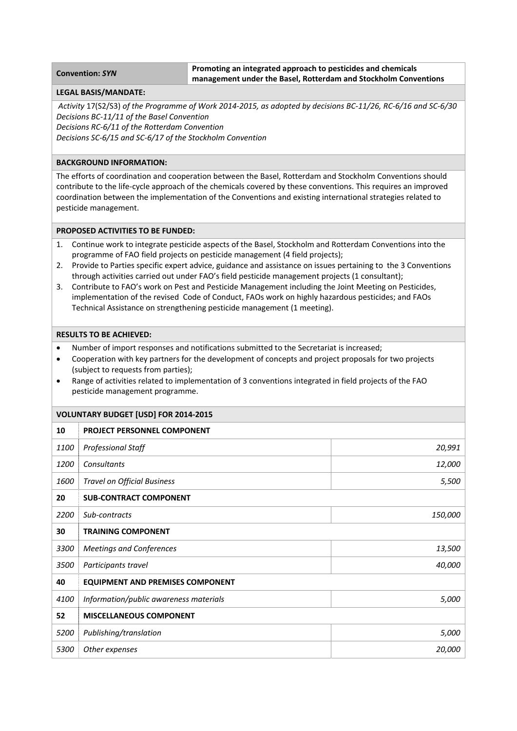# **Convention:** *SYN* **Promoting an integrated approach to pesticides and chemicals management under the Basel, Rotterdam and Stockholm Conventions**

## **LEGAL BASIS/MANDATE:**

Activity 17(S2/S3) of the Programme of Work 2014-2015, as adopted by decisions BC-11/26, RC-6/16 and SC-6/30 *Decisions BC‐11/11 of the Basel Convention*

*Decisions RC‐6/11 of the Rotterdam Convention*

*Decisions SC‐6/15 and SC‐6/17 of the Stockholm Convention*

# **BACKGROUND INFORMATION:**

The efforts of coordination and cooperation between the Basel, Rotterdam and Stockholm Conventions should contribute to the life‐cycle approach of the chemicals covered by these conventions. This requires an improved coordination between the implementation of the Conventions and existing international strategies related to pesticide management.

## **PROPOSED ACTIVITIES TO BE FUNDED:**

- 1. Continue work to integrate pesticide aspects of the Basel, Stockholm and Rotterdam Conventions into the programme of FAO field projects on pesticide management (4 field projects);
- 2. Provide to Parties specific expert advice, guidance and assistance on issues pertaining to the 3 Conventions through activities carried out under FAO's field pesticide management projects (1 consultant);
- 3. Contribute to FAO's work on Pest and Pesticide Management including the Joint Meeting on Pesticides, implementation of the revised Code of Conduct, FAOs work on highly hazardous pesticides; and FAOs Technical Assistance on strengthening pesticide management (1 meeting).

## **RESULTS TO BE ACHIEVED:**

- Number of import responses and notifications submitted to the Secretariat is increased;
- Cooperation with key partners for the development of concepts and project proposals for two projects (subject to requests from parties);
- Range of activities related to implementation of 3 conventions integrated in field projects of the FAO pesticide management programme.

## **VOLUNTARY BUDGET [USD] FOR 2014‐2015**

| 10   | <b>PROJECT PERSONNEL COMPONENT</b>      |         |  |
|------|-----------------------------------------|---------|--|
| 1100 | <b>Professional Staff</b>               | 20,991  |  |
| 1200 | Consultants                             | 12,000  |  |
| 1600 | <b>Travel on Official Business</b>      | 5,500   |  |
| 20   | <b>SUB-CONTRACT COMPONENT</b>           |         |  |
| 2200 | Sub-contracts                           | 150,000 |  |
| 30   | <b>TRAINING COMPONENT</b>               |         |  |
| 3300 | <b>Meetings and Conferences</b>         | 13,500  |  |
| 3500 | Participants travel                     | 40,000  |  |
| 40   | <b>EQUIPMENT AND PREMISES COMPONENT</b> |         |  |
| 4100 | Information/public awareness materials  | 5,000   |  |
| 52   | <b>MISCELLANEOUS COMPONENT</b>          |         |  |
| 5200 | Publishing/translation                  | 5,000   |  |
| 5300 | Other expenses                          | 20,000  |  |